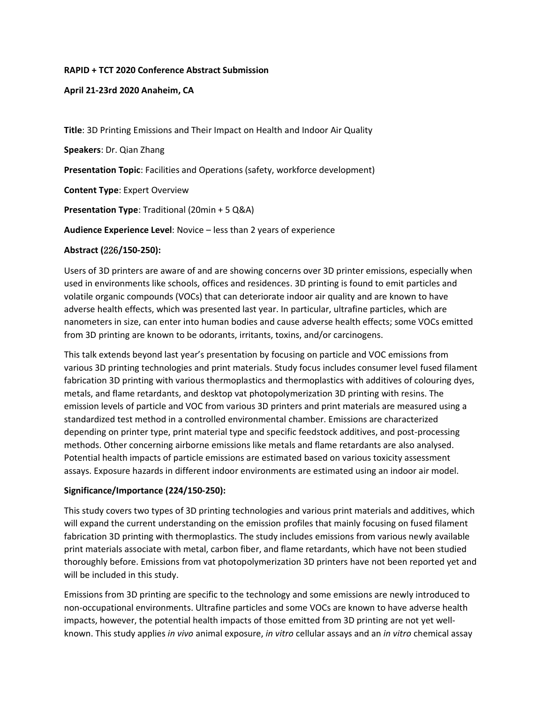### **RAPID + TCT 2020 Conference Abstract Submission**

### **April 21-23rd 2020 Anaheim, CA**

**Title**: 3D Printing Emissions and Their Impact on Health and Indoor Air Quality

**Speakers**: Dr. Qian Zhang

**Presentation Topic**: Facilities and Operations (safety, workforce development)

**Content Type**: Expert Overview

**Presentation Type**: Traditional (20min + 5 Q&A)

**Audience Experience Level**: Novice – less than 2 years of experience

### **Abstract (**226**/150-250):**

Users of 3D printers are aware of and are showing concerns over 3D printer emissions, especially when used in environments like schools, offices and residences. 3D printing is found to emit particles and volatile organic compounds (VOCs) that can deteriorate indoor air quality and are known to have adverse health effects, which was presented last year. In particular, ultrafine particles, which are nanometers in size, can enter into human bodies and cause adverse health effects; some VOCs emitted from 3D printing are known to be odorants, irritants, toxins, and/or carcinogens.

This talk extends beyond last year's presentation by focusing on particle and VOC emissions from various 3D printing technologies and print materials. Study focus includes consumer level fused filament fabrication 3D printing with various thermoplastics and thermoplastics with additives of colouring dyes, metals, and flame retardants, and desktop vat photopolymerization 3D printing with resins. The emission levels of particle and VOC from various 3D printers and print materials are measured using a standardized test method in a controlled environmental chamber. Emissions are characterized depending on printer type, print material type and specific feedstock additives, and post-processing methods. Other concerning airborne emissions like metals and flame retardants are also analysed. Potential health impacts of particle emissions are estimated based on various toxicity assessment assays. Exposure hazards in different indoor environments are estimated using an indoor air model.

## **Significance/Importance (224/150-250):**

This study covers two types of 3D printing technologies and various print materials and additives, which will expand the current understanding on the emission profiles that mainly focusing on fused filament fabrication 3D printing with thermoplastics. The study includes emissions from various newly available print materials associate with metal, carbon fiber, and flame retardants, which have not been studied thoroughly before. Emissions from vat photopolymerization 3D printers have not been reported yet and will be included in this study.

Emissions from 3D printing are specific to the technology and some emissions are newly introduced to non-occupational environments. Ultrafine particles and some VOCs are known to have adverse health impacts, however, the potential health impacts of those emitted from 3D printing are not yet wellknown. This study applies *in vivo* animal exposure, *in vitro* cellular assays and an *in vitro* chemical assay